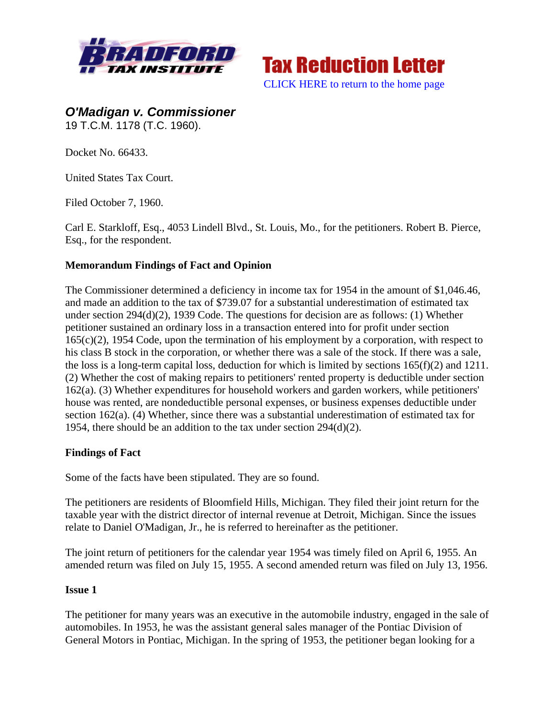



*O'Madigan v. Commissioner*  19 T.C.M. 1178 (T.C. 1960).

Docket No. 66433.

United States Tax Court.

Filed October 7, 1960.

Carl E. Starkloff, Esq., 4053 Lindell Blvd., St. Louis, Mo., for the petitioners. Robert B. Pierce, Esq., for the respondent.

## **Memorandum Findings of Fact and Opinion**

The Commissioner determined a deficiency in income tax for 1954 in the amount of \$1,046.46, and made an addition to the tax of \$739.07 for a substantial underestimation of estimated tax under section 294(d)(2), 1939 Code. The questions for decision are as follows: (1) Whether petitioner sustained an ordinary loss in a transaction entered into for profit under section  $165(c)(2)$ , 1954 Code, upon the termination of his employment by a corporation, with respect to his class B stock in the corporation, or whether there was a sale of the stock. If there was a sale, the loss is a long-term capital loss, deduction for which is limited by sections 165(f)(2) and 1211. (2) Whether the cost of making repairs to petitioners' rented property is deductible under section 162(a). (3) Whether expenditures for household workers and garden workers, while petitioners' house was rented, are nondeductible personal expenses, or business expenses deductible under section 162(a). (4) Whether, since there was a substantial underestimation of estimated tax for 1954, there should be an addition to the tax under section 294(d)(2).

### **Findings of Fact**

Some of the facts have been stipulated. They are so found.

The petitioners are residents of Bloomfield Hills, Michigan. They filed their joint return for the taxable year with the district director of internal revenue at Detroit, Michigan. Since the issues relate to Daniel O'Madigan, Jr., he is referred to hereinafter as the petitioner.

The joint return of petitioners for the calendar year 1954 was timely filed on April 6, 1955. An amended return was filed on July 15, 1955. A second amended return was filed on July 13, 1956.

#### **Issue 1**

The petitioner for many years was an executive in the automobile industry, engaged in the sale of automobiles. In 1953, he was the assistant general sales manager of the Pontiac Division of General Motors in Pontiac, Michigan. In the spring of 1953, the petitioner began looking for a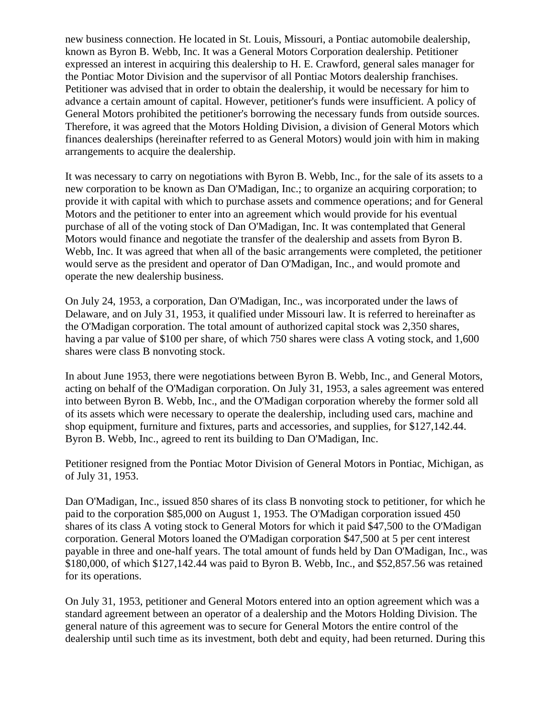new business connection. He located in St. Louis, Missouri, a Pontiac automobile dealership, known as Byron B. Webb, Inc. It was a General Motors Corporation dealership. Petitioner expressed an interest in acquiring this dealership to H. E. Crawford, general sales manager for the Pontiac Motor Division and the supervisor of all Pontiac Motors dealership franchises. Petitioner was advised that in order to obtain the dealership, it would be necessary for him to advance a certain amount of capital. However, petitioner's funds were insufficient. A policy of General Motors prohibited the petitioner's borrowing the necessary funds from outside sources. Therefore, it was agreed that the Motors Holding Division, a division of General Motors which finances dealerships (hereinafter referred to as General Motors) would join with him in making arrangements to acquire the dealership.

It was necessary to carry on negotiations with Byron B. Webb, Inc., for the sale of its assets to a new corporation to be known as Dan O'Madigan, Inc.; to organize an acquiring corporation; to provide it with capital with which to purchase assets and commence operations; and for General Motors and the petitioner to enter into an agreement which would provide for his eventual purchase of all of the voting stock of Dan O'Madigan, Inc. It was contemplated that General Motors would finance and negotiate the transfer of the dealership and assets from Byron B. Webb, Inc. It was agreed that when all of the basic arrangements were completed, the petitioner would serve as the president and operator of Dan O'Madigan, Inc., and would promote and operate the new dealership business.

On July 24, 1953, a corporation, Dan O'Madigan, Inc., was incorporated under the laws of Delaware, and on July 31, 1953, it qualified under Missouri law. It is referred to hereinafter as the O'Madigan corporation. The total amount of authorized capital stock was 2,350 shares, having a par value of \$100 per share, of which 750 shares were class A voting stock, and 1,600 shares were class B nonvoting stock.

In about June 1953, there were negotiations between Byron B. Webb, Inc., and General Motors, acting on behalf of the O'Madigan corporation. On July 31, 1953, a sales agreement was entered into between Byron B. Webb, Inc., and the O'Madigan corporation whereby the former sold all of its assets which were necessary to operate the dealership, including used cars, machine and shop equipment, furniture and fixtures, parts and accessories, and supplies, for \$127,142.44. Byron B. Webb, Inc., agreed to rent its building to Dan O'Madigan, Inc.

Petitioner resigned from the Pontiac Motor Division of General Motors in Pontiac, Michigan, as of July 31, 1953.

Dan O'Madigan, Inc., issued 850 shares of its class B nonvoting stock to petitioner, for which he paid to the corporation \$85,000 on August 1, 1953. The O'Madigan corporation issued 450 shares of its class A voting stock to General Motors for which it paid \$47,500 to the O'Madigan corporation. General Motors loaned the O'Madigan corporation \$47,500 at 5 per cent interest payable in three and one-half years. The total amount of funds held by Dan O'Madigan, Inc., was \$180,000, of which \$127,142.44 was paid to Byron B. Webb, Inc., and \$52,857.56 was retained for its operations.

On July 31, 1953, petitioner and General Motors entered into an option agreement which was a standard agreement between an operator of a dealership and the Motors Holding Division. The general nature of this agreement was to secure for General Motors the entire control of the dealership until such time as its investment, both debt and equity, had been returned. During this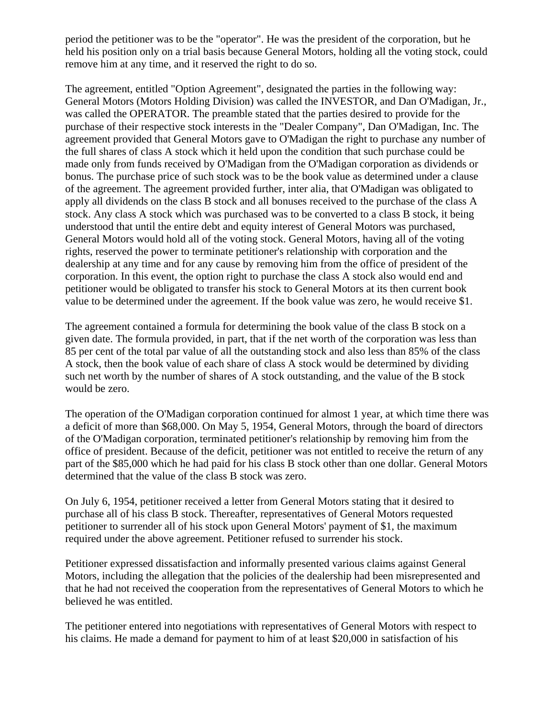period the petitioner was to be the "operator". He was the president of the corporation, but he held his position only on a trial basis because General Motors, holding all the voting stock, could remove him at any time, and it reserved the right to do so.

The agreement, entitled "Option Agreement", designated the parties in the following way: General Motors (Motors Holding Division) was called the INVESTOR, and Dan O'Madigan, Jr., was called the OPERATOR. The preamble stated that the parties desired to provide for the purchase of their respective stock interests in the "Dealer Company", Dan O'Madigan, Inc. The agreement provided that General Motors gave to O'Madigan the right to purchase any number of the full shares of class A stock which it held upon the condition that such purchase could be made only from funds received by O'Madigan from the O'Madigan corporation as dividends or bonus. The purchase price of such stock was to be the book value as determined under a clause of the agreement. The agreement provided further, inter alia, that O'Madigan was obligated to apply all dividends on the class B stock and all bonuses received to the purchase of the class A stock. Any class A stock which was purchased was to be converted to a class B stock, it being understood that until the entire debt and equity interest of General Motors was purchased, General Motors would hold all of the voting stock. General Motors, having all of the voting rights, reserved the power to terminate petitioner's relationship with corporation and the dealership at any time and for any cause by removing him from the office of president of the corporation. In this event, the option right to purchase the class A stock also would end and petitioner would be obligated to transfer his stock to General Motors at its then current book value to be determined under the agreement. If the book value was zero, he would receive \$1.

The agreement contained a formula for determining the book value of the class B stock on a given date. The formula provided, in part, that if the net worth of the corporation was less than 85 per cent of the total par value of all the outstanding stock and also less than 85% of the class A stock, then the book value of each share of class A stock would be determined by dividing such net worth by the number of shares of A stock outstanding, and the value of the B stock would be zero.

The operation of the O'Madigan corporation continued for almost 1 year, at which time there was a deficit of more than \$68,000. On May 5, 1954, General Motors, through the board of directors of the O'Madigan corporation, terminated petitioner's relationship by removing him from the office of president. Because of the deficit, petitioner was not entitled to receive the return of any part of the \$85,000 which he had paid for his class B stock other than one dollar. General Motors determined that the value of the class B stock was zero.

On July 6, 1954, petitioner received a letter from General Motors stating that it desired to purchase all of his class B stock. Thereafter, representatives of General Motors requested petitioner to surrender all of his stock upon General Motors' payment of \$1, the maximum required under the above agreement. Petitioner refused to surrender his stock.

Petitioner expressed dissatisfaction and informally presented various claims against General Motors, including the allegation that the policies of the dealership had been misrepresented and that he had not received the cooperation from the representatives of General Motors to which he believed he was entitled.

The petitioner entered into negotiations with representatives of General Motors with respect to his claims. He made a demand for payment to him of at least \$20,000 in satisfaction of his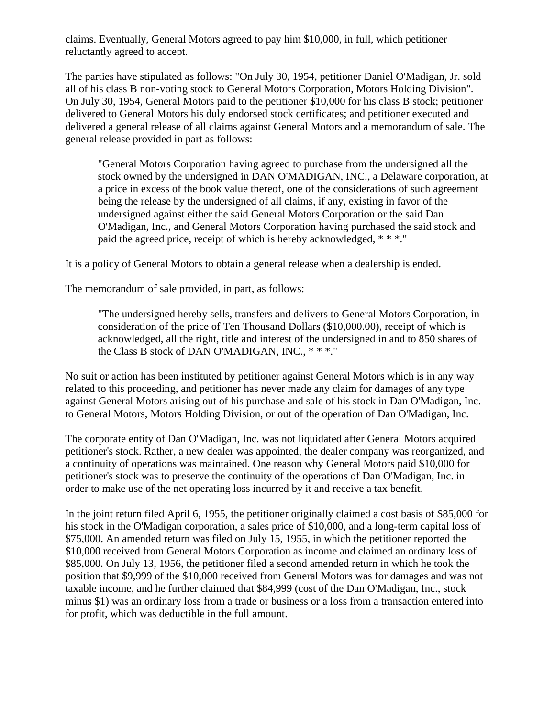claims. Eventually, General Motors agreed to pay him \$10,000, in full, which petitioner reluctantly agreed to accept.

The parties have stipulated as follows: "On July 30, 1954, petitioner Daniel O'Madigan, Jr. sold all of his class B non-voting stock to General Motors Corporation, Motors Holding Division". On July 30, 1954, General Motors paid to the petitioner \$10,000 for his class B stock; petitioner delivered to General Motors his duly endorsed stock certificates; and petitioner executed and delivered a general release of all claims against General Motors and a memorandum of sale. The general release provided in part as follows:

"General Motors Corporation having agreed to purchase from the undersigned all the stock owned by the undersigned in DAN O'MADIGAN, INC., a Delaware corporation, at a price in excess of the book value thereof, one of the considerations of such agreement being the release by the undersigned of all claims, if any, existing in favor of the undersigned against either the said General Motors Corporation or the said Dan O'Madigan, Inc., and General Motors Corporation having purchased the said stock and paid the agreed price, receipt of which is hereby acknowledged, \* \* \*."

It is a policy of General Motors to obtain a general release when a dealership is ended.

The memorandum of sale provided, in part, as follows:

"The undersigned hereby sells, transfers and delivers to General Motors Corporation, in consideration of the price of Ten Thousand Dollars (\$10,000.00), receipt of which is acknowledged, all the right, title and interest of the undersigned in and to 850 shares of the Class B stock of DAN O'MADIGAN, INC., \* \* \*."

No suit or action has been instituted by petitioner against General Motors which is in any way related to this proceeding, and petitioner has never made any claim for damages of any type against General Motors arising out of his purchase and sale of his stock in Dan O'Madigan, Inc. to General Motors, Motors Holding Division, or out of the operation of Dan O'Madigan, Inc.

The corporate entity of Dan O'Madigan, Inc. was not liquidated after General Motors acquired petitioner's stock. Rather, a new dealer was appointed, the dealer company was reorganized, and a continuity of operations was maintained. One reason why General Motors paid \$10,000 for petitioner's stock was to preserve the continuity of the operations of Dan O'Madigan, Inc. in order to make use of the net operating loss incurred by it and receive a tax benefit.

In the joint return filed April 6, 1955, the petitioner originally claimed a cost basis of \$85,000 for his stock in the O'Madigan corporation, a sales price of \$10,000, and a long-term capital loss of \$75,000. An amended return was filed on July 15, 1955, in which the petitioner reported the \$10,000 received from General Motors Corporation as income and claimed an ordinary loss of \$85,000. On July 13, 1956, the petitioner filed a second amended return in which he took the position that \$9,999 of the \$10,000 received from General Motors was for damages and was not taxable income, and he further claimed that \$84,999 (cost of the Dan O'Madigan, Inc., stock minus \$1) was an ordinary loss from a trade or business or a loss from a transaction entered into for profit, which was deductible in the full amount.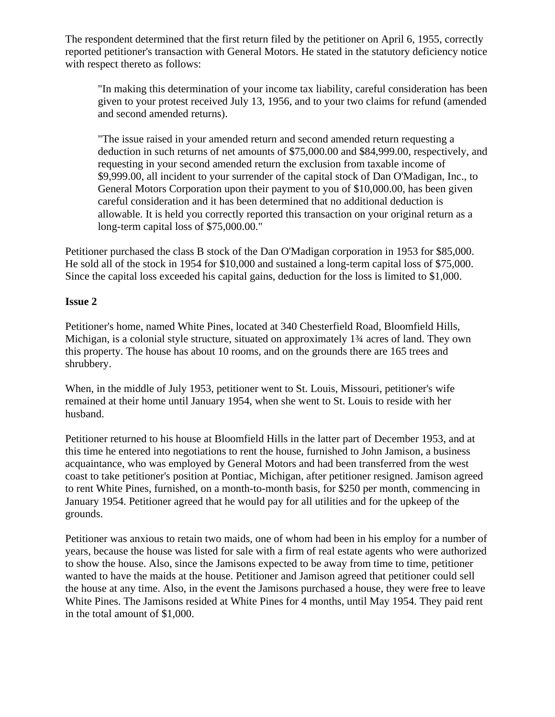The respondent determined that the first return filed by the petitioner on April 6, 1955, correctly reported petitioner's transaction with General Motors. He stated in the statutory deficiency notice with respect thereto as follows:

"In making this determination of your income tax liability, careful consideration has been given to your protest received July 13, 1956, and to your two claims for refund (amended and second amended returns).

"The issue raised in your amended return and second amended return requesting a deduction in such returns of net amounts of \$75,000.00 and \$84,999.00, respectively, and requesting in your second amended return the exclusion from taxable income of \$9,999.00, all incident to your surrender of the capital stock of Dan O'Madigan, Inc., to General Motors Corporation upon their payment to you of \$10,000.00, has been given careful consideration and it has been determined that no additional deduction is allowable. It is held you correctly reported this transaction on your original return as a long-term capital loss of \$75,000.00."

Petitioner purchased the class B stock of the Dan O'Madigan corporation in 1953 for \$85,000. He sold all of the stock in 1954 for \$10,000 and sustained a long-term capital loss of \$75,000. Since the capital loss exceeded his capital gains, deduction for the loss is limited to \$1,000.

## **Issue 2**

Petitioner's home, named White Pines, located at 340 Chesterfield Road, Bloomfield Hills, Michigan, is a colonial style structure, situated on approximately 1¾ acres of land. They own this property. The house has about 10 rooms, and on the grounds there are 165 trees and shrubbery.

When, in the middle of July 1953, petitioner went to St. Louis, Missouri, petitioner's wife remained at their home until January 1954, when she went to St. Louis to reside with her husband.

Petitioner returned to his house at Bloomfield Hills in the latter part of December 1953, and at this time he entered into negotiations to rent the house, furnished to John Jamison, a business acquaintance, who was employed by General Motors and had been transferred from the west coast to take petitioner's position at Pontiac, Michigan, after petitioner resigned. Jamison agreed to rent White Pines, furnished, on a month-to-month basis, for \$250 per month, commencing in January 1954. Petitioner agreed that he would pay for all utilities and for the upkeep of the grounds.

Petitioner was anxious to retain two maids, one of whom had been in his employ for a number of years, because the house was listed for sale with a firm of real estate agents who were authorized to show the house. Also, since the Jamisons expected to be away from time to time, petitioner wanted to have the maids at the house. Petitioner and Jamison agreed that petitioner could sell the house at any time. Also, in the event the Jamisons purchased a house, they were free to leave White Pines. The Jamisons resided at White Pines for 4 months, until May 1954. They paid rent in the total amount of \$1,000.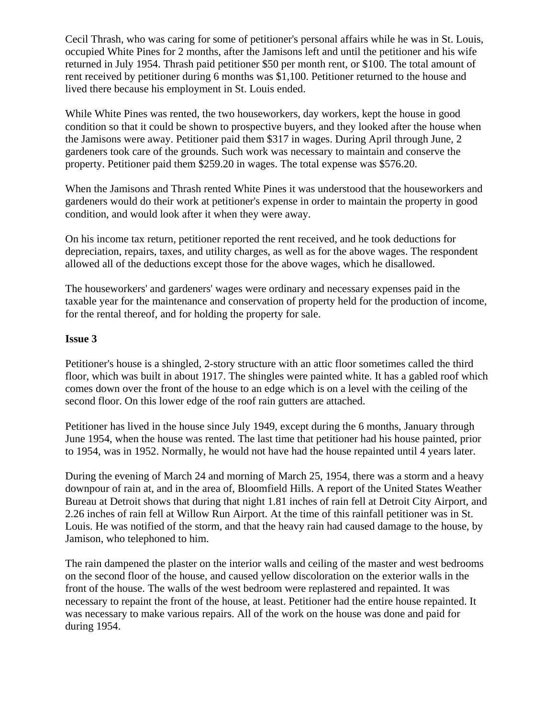Cecil Thrash, who was caring for some of petitioner's personal affairs while he was in St. Louis, occupied White Pines for 2 months, after the Jamisons left and until the petitioner and his wife returned in July 1954. Thrash paid petitioner \$50 per month rent, or \$100. The total amount of rent received by petitioner during 6 months was \$1,100. Petitioner returned to the house and lived there because his employment in St. Louis ended.

While White Pines was rented, the two houseworkers, day workers, kept the house in good condition so that it could be shown to prospective buyers, and they looked after the house when the Jamisons were away. Petitioner paid them \$317 in wages. During April through June, 2 gardeners took care of the grounds. Such work was necessary to maintain and conserve the property. Petitioner paid them \$259.20 in wages. The total expense was \$576.20.

When the Jamisons and Thrash rented White Pines it was understood that the houseworkers and gardeners would do their work at petitioner's expense in order to maintain the property in good condition, and would look after it when they were away.

On his income tax return, petitioner reported the rent received, and he took deductions for depreciation, repairs, taxes, and utility charges, as well as for the above wages. The respondent allowed all of the deductions except those for the above wages, which he disallowed.

The houseworkers' and gardeners' wages were ordinary and necessary expenses paid in the taxable year for the maintenance and conservation of property held for the production of income, for the rental thereof, and for holding the property for sale.

#### **Issue 3**

Petitioner's house is a shingled, 2-story structure with an attic floor sometimes called the third floor, which was built in about 1917. The shingles were painted white. It has a gabled roof which comes down over the front of the house to an edge which is on a level with the ceiling of the second floor. On this lower edge of the roof rain gutters are attached.

Petitioner has lived in the house since July 1949, except during the 6 months, January through June 1954, when the house was rented. The last time that petitioner had his house painted, prior to 1954, was in 1952. Normally, he would not have had the house repainted until 4 years later.

During the evening of March 24 and morning of March 25, 1954, there was a storm and a heavy downpour of rain at, and in the area of, Bloomfield Hills. A report of the United States Weather Bureau at Detroit shows that during that night 1.81 inches of rain fell at Detroit City Airport, and 2.26 inches of rain fell at Willow Run Airport. At the time of this rainfall petitioner was in St. Louis. He was notified of the storm, and that the heavy rain had caused damage to the house, by Jamison, who telephoned to him.

The rain dampened the plaster on the interior walls and ceiling of the master and west bedrooms on the second floor of the house, and caused yellow discoloration on the exterior walls in the front of the house. The walls of the west bedroom were replastered and repainted. It was necessary to repaint the front of the house, at least. Petitioner had the entire house repainted. It was necessary to make various repairs. All of the work on the house was done and paid for during 1954.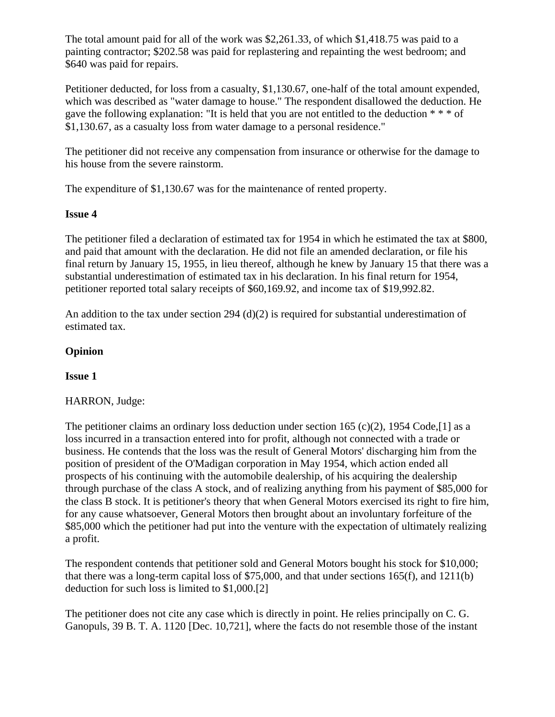The total amount paid for all of the work was \$2,261.33, of which \$1,418.75 was paid to a painting contractor; \$202.58 was paid for replastering and repainting the west bedroom; and \$640 was paid for repairs.

Petitioner deducted, for loss from a casualty, \$1,130.67, one-half of the total amount expended, which was described as "water damage to house." The respondent disallowed the deduction. He gave the following explanation: "It is held that you are not entitled to the deduction  $** \cdot$ " \$1,130.67, as a casualty loss from water damage to a personal residence."

The petitioner did not receive any compensation from insurance or otherwise for the damage to his house from the severe rainstorm.

The expenditure of \$1,130.67 was for the maintenance of rented property.

## **Issue 4**

The petitioner filed a declaration of estimated tax for 1954 in which he estimated the tax at \$800, and paid that amount with the declaration. He did not file an amended declaration, or file his final return by January 15, 1955, in lieu thereof, although he knew by January 15 that there was a substantial underestimation of estimated tax in his declaration. In his final return for 1954, petitioner reported total salary receipts of \$60,169.92, and income tax of \$19,992.82.

An addition to the tax under section 294 (d)(2) is required for substantial underestimation of estimated tax.

# **Opinion**

# **Issue 1**

# HARRON, Judge:

The petitioner claims an ordinary loss deduction under section 165 (c)(2), 1954 Code, [1] as a loss incurred in a transaction entered into for profit, although not connected with a trade or business. He contends that the loss was the result of General Motors' discharging him from the position of president of the O'Madigan corporation in May 1954, which action ended all prospects of his continuing with the automobile dealership, of his acquiring the dealership through purchase of the class A stock, and of realizing anything from his payment of \$85,000 for the class B stock. It is petitioner's theory that when General Motors exercised its right to fire him, for any cause whatsoever, General Motors then brought about an involuntary forfeiture of the \$85,000 which the petitioner had put into the venture with the expectation of ultimately realizing a profit.

The respondent contends that petitioner sold and General Motors bought his stock for \$10,000; that there was a long-term capital loss of \$75,000, and that under sections 165(f), and 1211(b) deduction for such loss is limited to \$1,000.[2]

The petitioner does not cite any case which is directly in point. He relies principally on C. G. Ganopuls, 39 B. T. A. 1120 [Dec. 10,721], where the facts do not resemble those of the instant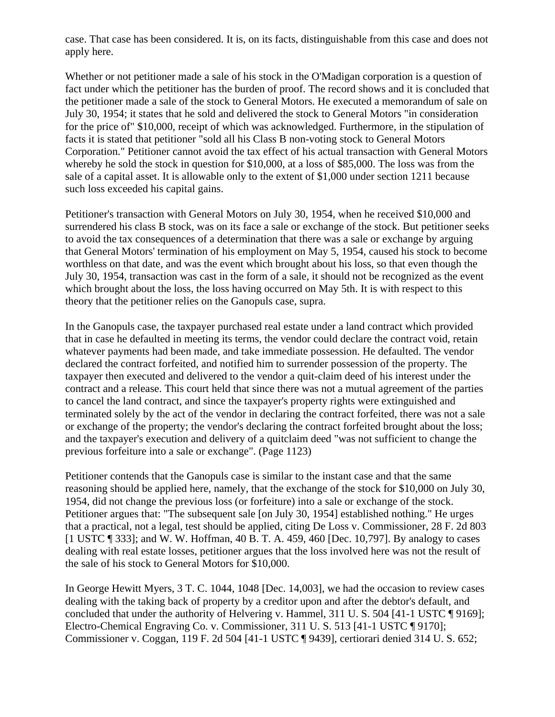case. That case has been considered. It is, on its facts, distinguishable from this case and does not apply here.

Whether or not petitioner made a sale of his stock in the O'Madigan corporation is a question of fact under which the petitioner has the burden of proof. The record shows and it is concluded that the petitioner made a sale of the stock to General Motors. He executed a memorandum of sale on July 30, 1954; it states that he sold and delivered the stock to General Motors "in consideration for the price of" \$10,000, receipt of which was acknowledged. Furthermore, in the stipulation of facts it is stated that petitioner "sold all his Class B non-voting stock to General Motors Corporation." Petitioner cannot avoid the tax effect of his actual transaction with General Motors whereby he sold the stock in question for \$10,000, at a loss of \$85,000. The loss was from the sale of a capital asset. It is allowable only to the extent of \$1,000 under section 1211 because such loss exceeded his capital gains.

Petitioner's transaction with General Motors on July 30, 1954, when he received \$10,000 and surrendered his class B stock, was on its face a sale or exchange of the stock. But petitioner seeks to avoid the tax consequences of a determination that there was a sale or exchange by arguing that General Motors' termination of his employment on May 5, 1954, caused his stock to become worthless on that date, and was the event which brought about his loss, so that even though the July 30, 1954, transaction was cast in the form of a sale, it should not be recognized as the event which brought about the loss, the loss having occurred on May 5th. It is with respect to this theory that the petitioner relies on the Ganopuls case, supra.

In the Ganopuls case, the taxpayer purchased real estate under a land contract which provided that in case he defaulted in meeting its terms, the vendor could declare the contract void, retain whatever payments had been made, and take immediate possession. He defaulted. The vendor declared the contract forfeited, and notified him to surrender possession of the property. The taxpayer then executed and delivered to the vendor a quit-claim deed of his interest under the contract and a release. This court held that since there was not a mutual agreement of the parties to cancel the land contract, and since the taxpayer's property rights were extinguished and terminated solely by the act of the vendor in declaring the contract forfeited, there was not a sale or exchange of the property; the vendor's declaring the contract forfeited brought about the loss; and the taxpayer's execution and delivery of a quitclaim deed "was not sufficient to change the previous forfeiture into a sale or exchange". (Page 1123)

Petitioner contends that the Ganopuls case is similar to the instant case and that the same reasoning should be applied here, namely, that the exchange of the stock for \$10,000 on July 30, 1954, did not change the previous loss (or forfeiture) into a sale or exchange of the stock. Petitioner argues that: "The subsequent sale [on July 30, 1954] established nothing." He urges that a practical, not a legal, test should be applied, citing De Loss v. Commissioner, 28 F. 2d 803 [1 USTC ] 333]; and W. W. Hoffman, 40 B. T. A. 459, 460 [Dec. 10,797]. By analogy to cases dealing with real estate losses, petitioner argues that the loss involved here was not the result of the sale of his stock to General Motors for \$10,000.

In George Hewitt Myers, 3 T. C. 1044, 1048 [Dec. 14,003], we had the occasion to review cases dealing with the taking back of property by a creditor upon and after the debtor's default, and concluded that under the authority of Helvering v. Hammel, 311 U. S. 504 [41-1 USTC ¶ 9169]; Electro-Chemical Engraving Co. v. Commissioner, 311 U. S. 513 [41-1 USTC ¶ 9170]; Commissioner v. Coggan, 119 F. 2d 504 [41-1 USTC ¶ 9439], certiorari denied 314 U. S. 652;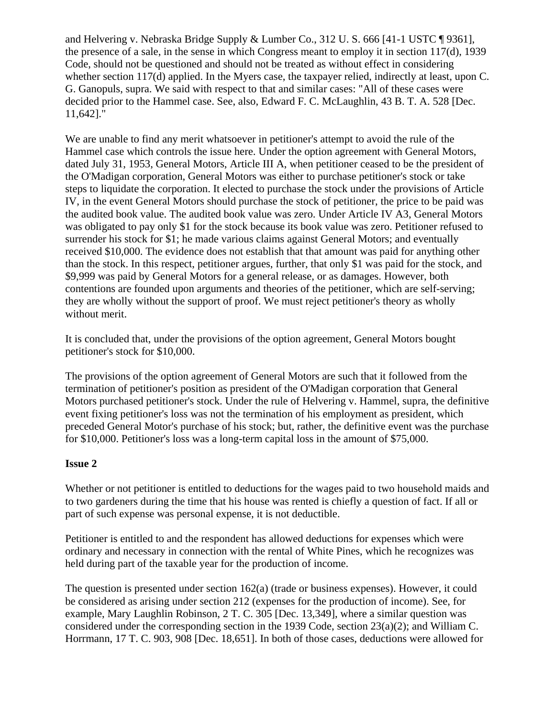and Helvering v. Nebraska Bridge Supply & Lumber Co., 312 U. S. 666 [41-1 USTC ¶ 9361], the presence of a sale, in the sense in which Congress meant to employ it in section 117(d), 1939 Code, should not be questioned and should not be treated as without effect in considering whether section 117(d) applied. In the Myers case, the taxpayer relied, indirectly at least, upon C. G. Ganopuls, supra. We said with respect to that and similar cases: "All of these cases were decided prior to the Hammel case. See, also, Edward F. C. McLaughlin, 43 B. T. A. 528 [Dec. 11,642]."

We are unable to find any merit whatsoever in petitioner's attempt to avoid the rule of the Hammel case which controls the issue here. Under the option agreement with General Motors, dated July 31, 1953, General Motors, Article III A, when petitioner ceased to be the president of the O'Madigan corporation, General Motors was either to purchase petitioner's stock or take steps to liquidate the corporation. It elected to purchase the stock under the provisions of Article IV, in the event General Motors should purchase the stock of petitioner, the price to be paid was the audited book value. The audited book value was zero. Under Article IV A3, General Motors was obligated to pay only \$1 for the stock because its book value was zero. Petitioner refused to surrender his stock for \$1; he made various claims against General Motors; and eventually received \$10,000. The evidence does not establish that that amount was paid for anything other than the stock. In this respect, petitioner argues, further, that only \$1 was paid for the stock, and \$9,999 was paid by General Motors for a general release, or as damages. However, both contentions are founded upon arguments and theories of the petitioner, which are self-serving; they are wholly without the support of proof. We must reject petitioner's theory as wholly without merit.

It is concluded that, under the provisions of the option agreement, General Motors bought petitioner's stock for \$10,000.

The provisions of the option agreement of General Motors are such that it followed from the termination of petitioner's position as president of the O'Madigan corporation that General Motors purchased petitioner's stock. Under the rule of Helvering v. Hammel, supra, the definitive event fixing petitioner's loss was not the termination of his employment as president, which preceded General Motor's purchase of his stock; but, rather, the definitive event was the purchase for \$10,000. Petitioner's loss was a long-term capital loss in the amount of \$75,000.

# **Issue 2**

Whether or not petitioner is entitled to deductions for the wages paid to two household maids and to two gardeners during the time that his house was rented is chiefly a question of fact. If all or part of such expense was personal expense, it is not deductible.

Petitioner is entitled to and the respondent has allowed deductions for expenses which were ordinary and necessary in connection with the rental of White Pines, which he recognizes was held during part of the taxable year for the production of income.

The question is presented under section  $162(a)$  (trade or business expenses). However, it could be considered as arising under section 212 (expenses for the production of income). See, for example, Mary Laughlin Robinson, 2 T. C. 305 [Dec. 13,349], where a similar question was considered under the corresponding section in the 1939 Code, section 23(a)(2); and William C. Horrmann, 17 T. C. 903, 908 [Dec. 18,651]. In both of those cases, deductions were allowed for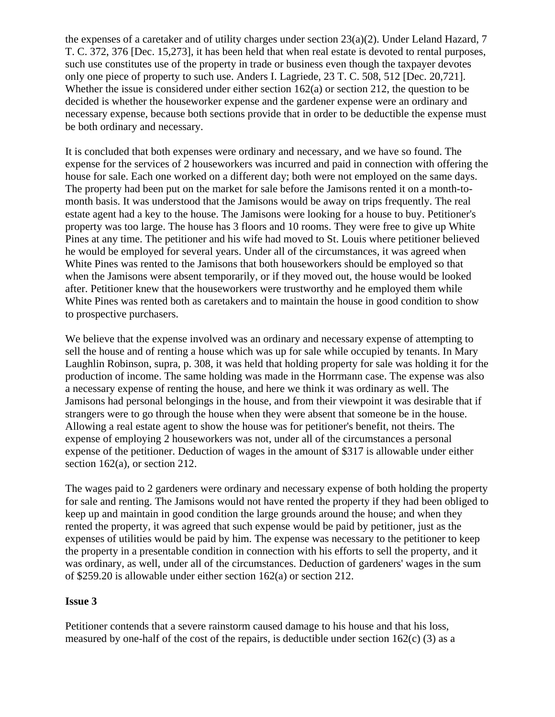the expenses of a caretaker and of utility charges under section  $23(a)(2)$ . Under Leland Hazard, 7 T. C. 372, 376 [Dec. 15,273], it has been held that when real estate is devoted to rental purposes, such use constitutes use of the property in trade or business even though the taxpayer devotes only one piece of property to such use. Anders I. Lagriede, 23 T. C. 508, 512 [Dec. 20,721]. Whether the issue is considered under either section 162(a) or section 212, the question to be decided is whether the houseworker expense and the gardener expense were an ordinary and necessary expense, because both sections provide that in order to be deductible the expense must be both ordinary and necessary.

It is concluded that both expenses were ordinary and necessary, and we have so found. The expense for the services of 2 houseworkers was incurred and paid in connection with offering the house for sale. Each one worked on a different day; both were not employed on the same days. The property had been put on the market for sale before the Jamisons rented it on a month-tomonth basis. It was understood that the Jamisons would be away on trips frequently. The real estate agent had a key to the house. The Jamisons were looking for a house to buy. Petitioner's property was too large. The house has 3 floors and 10 rooms. They were free to give up White Pines at any time. The petitioner and his wife had moved to St. Louis where petitioner believed he would be employed for several years. Under all of the circumstances, it was agreed when White Pines was rented to the Jamisons that both houseworkers should be employed so that when the Jamisons were absent temporarily, or if they moved out, the house would be looked after. Petitioner knew that the houseworkers were trustworthy and he employed them while White Pines was rented both as caretakers and to maintain the house in good condition to show to prospective purchasers.

We believe that the expense involved was an ordinary and necessary expense of attempting to sell the house and of renting a house which was up for sale while occupied by tenants. In Mary Laughlin Robinson, supra, p. 308, it was held that holding property for sale was holding it for the production of income. The same holding was made in the Horrmann case. The expense was also a necessary expense of renting the house, and here we think it was ordinary as well. The Jamisons had personal belongings in the house, and from their viewpoint it was desirable that if strangers were to go through the house when they were absent that someone be in the house. Allowing a real estate agent to show the house was for petitioner's benefit, not theirs. The expense of employing 2 houseworkers was not, under all of the circumstances a personal expense of the petitioner. Deduction of wages in the amount of \$317 is allowable under either section 162(a), or section 212.

The wages paid to 2 gardeners were ordinary and necessary expense of both holding the property for sale and renting. The Jamisons would not have rented the property if they had been obliged to keep up and maintain in good condition the large grounds around the house; and when they rented the property, it was agreed that such expense would be paid by petitioner, just as the expenses of utilities would be paid by him. The expense was necessary to the petitioner to keep the property in a presentable condition in connection with his efforts to sell the property, and it was ordinary, as well, under all of the circumstances. Deduction of gardeners' wages in the sum of \$259.20 is allowable under either section 162(a) or section 212.

### **Issue 3**

Petitioner contends that a severe rainstorm caused damage to his house and that his loss, measured by one-half of the cost of the repairs, is deductible under section  $162(c)$  (3) as a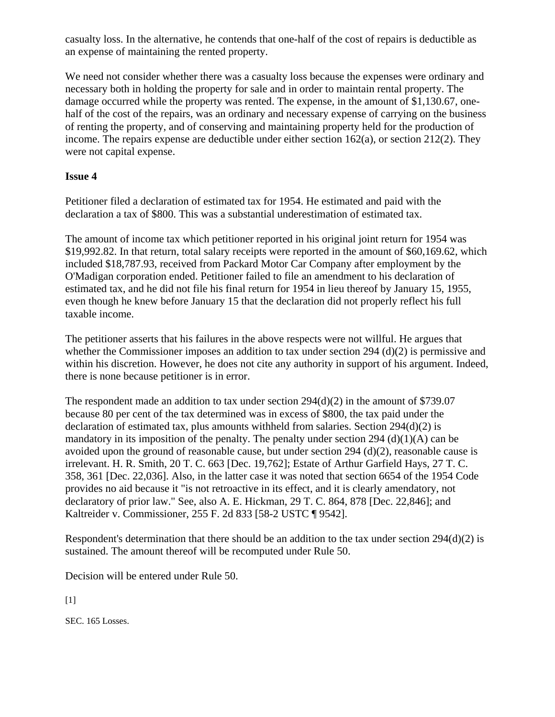casualty loss. In the alternative, he contends that one-half of the cost of repairs is deductible as an expense of maintaining the rented property.

We need not consider whether there was a casualty loss because the expenses were ordinary and necessary both in holding the property for sale and in order to maintain rental property. The damage occurred while the property was rented. The expense, in the amount of \$1,130.67, onehalf of the cost of the repairs, was an ordinary and necessary expense of carrying on the business of renting the property, and of conserving and maintaining property held for the production of income. The repairs expense are deductible under either section 162(a), or section 212(2). They were not capital expense.

### **Issue 4**

Petitioner filed a declaration of estimated tax for 1954. He estimated and paid with the declaration a tax of \$800. This was a substantial underestimation of estimated tax.

The amount of income tax which petitioner reported in his original joint return for 1954 was \$19,992.82. In that return, total salary receipts were reported in the amount of \$60,169.62, which included \$18,787.93, received from Packard Motor Car Company after employment by the O'Madigan corporation ended. Petitioner failed to file an amendment to his declaration of estimated tax, and he did not file his final return for 1954 in lieu thereof by January 15, 1955, even though he knew before January 15 that the declaration did not properly reflect his full taxable income.

The petitioner asserts that his failures in the above respects were not willful. He argues that whether the Commissioner imposes an addition to tax under section 294 (d)(2) is permissive and within his discretion. However, he does not cite any authority in support of his argument. Indeed, there is none because petitioner is in error.

The respondent made an addition to tax under section  $294(d)(2)$  in the amount of \$739.07 because 80 per cent of the tax determined was in excess of \$800, the tax paid under the declaration of estimated tax, plus amounts withheld from salaries. Section  $294(d)(2)$  is mandatory in its imposition of the penalty. The penalty under section 294 (d)(1)(A) can be avoided upon the ground of reasonable cause, but under section 294 (d)(2), reasonable cause is irrelevant. H. R. Smith, 20 T. C. 663 [Dec. 19,762]; Estate of Arthur Garfield Hays, 27 T. C. 358, 361 [Dec. 22,036]. Also, in the latter case it was noted that section 6654 of the 1954 Code provides no aid because it "is not retroactive in its effect, and it is clearly amendatory, not declaratory of prior law." See, also A. E. Hickman, 29 T. C. 864, 878 [Dec. 22,846]; and Kaltreider v. Commissioner, 255 F. 2d 833 [58-2 USTC ¶ 9542].

Respondent's determination that there should be an addition to the tax under section 294(d)(2) is sustained. The amount thereof will be recomputed under Rule 50.

Decision will be entered under Rule 50.

 $[1]$ 

SEC. 165 Losses.